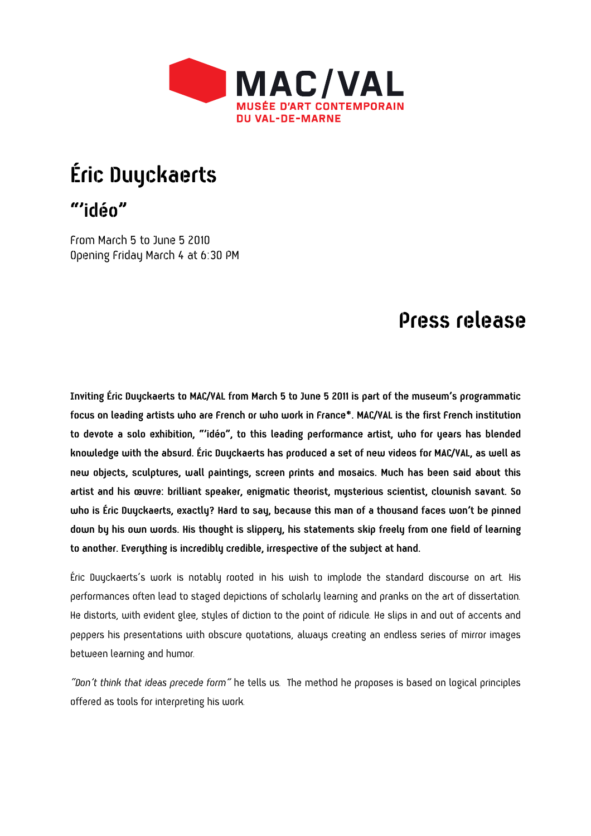

## **Éric Duyckaerts**

**"'idéo"** 

From March 5 to June 5 2010 Opening Friday March 4 at 6:30 PM

## **Press release**

**Inviting Éric Duyckaerts to MAC/VAL from March 5 to June 5 2011 is part of the museum's programmatic focus on leading artists who are French or who work in France\*. MAC/VAL is the first French institution to devote a solo exhibition, "'idéo", to this leading performance artist, who for years has blended knowledge with the absurd. Éric Duyckaerts has produced a set of new videos for MAC/VAL, as well as new objects, sculptures, wall paintings, screen prints and mosaics. Much has been said about this artist and his œuvre: brilliant speaker, enigmatic theorist, mysterious scientist, clownish savant. So who is Éric Duyckaerts, exactly? Hard to say, because this man of a thousand faces won't be pinned down by his own words. His thought is slippery, his statements skip freely from one field of learning to another. Everything is incredibly credible, irrespective of the subject at hand.** 

Éric Duyckaerts's work is notably rooted in his wish to implode the standard discourse on art. His performances often lead to staged depictions of scholarly learning and pranks on the art of dissertation. He distorts, with evident glee, styles of diction to the point of ridicule. He slips in and out of accents and peppers his presentations with obscure quotations, always creating an endless series of mirror images between learning and humor.

*"Don't think that ideas precede form"* he tells us. The method he proposes is based on logical principles offered as tools for interpreting his work.